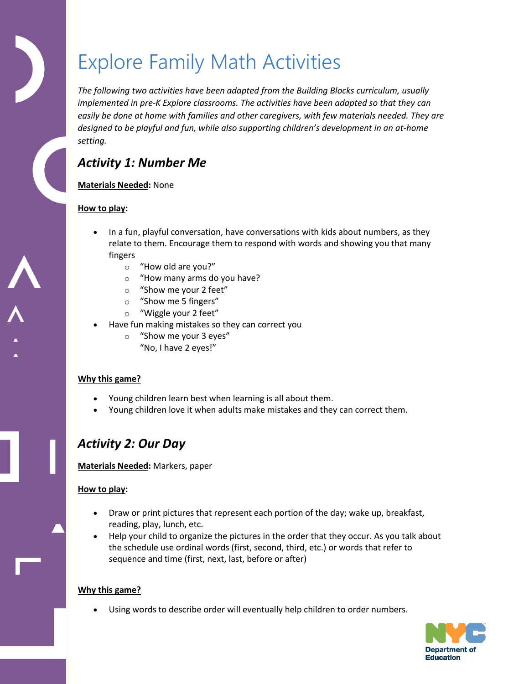# Explore Family Math Activities

*The following two activities have been adapted from the Building Blocks curriculum, usually implemented in pre-K Explore classrooms. The activities have been adapted so that they can easily be done at home with families and other caregivers, with few materials needed. They are designed to be playful and fun, while also supporting children's development in an at-home setting.* 

## *Activity 1: Number Me*

#### **Materials Needed:** None

#### **How to play:**

- In a fun, playful conversation, have conversations with kids about numbers, as they relate to them. Encourage them to respond with words and showing you that many fingers
	- o "How old are you?"
	- o "How many arms do you have?
	- o "Show me your 2 feet"
	- o "Show me 5 fingers"
	- o "Wiggle your 2 feet"
- Have fun making mistakes so they can correct you
	- o "Show me your 3 eyes" "No, I have 2 eyes!"

#### **Why this game?**

- Young children learn best when learning is all about them.
- Young children love it when adults make mistakes and they can correct them.

### *Activity 2: Our Day*

#### **Materials Needed:** Markers, paper

#### **How to play:**

- Draw or print pictures that represent each portion of the day; wake up, breakfast, reading, play, lunch, etc.
- Help your child to organize the pictures in the order that they occur. As you talk about the schedule use ordinal words (first, second, third, etc.) or words that refer to sequence and time (first, next, last, before or after)

#### **Why this game?**

Using words to describe order will eventually help children to order numbers.